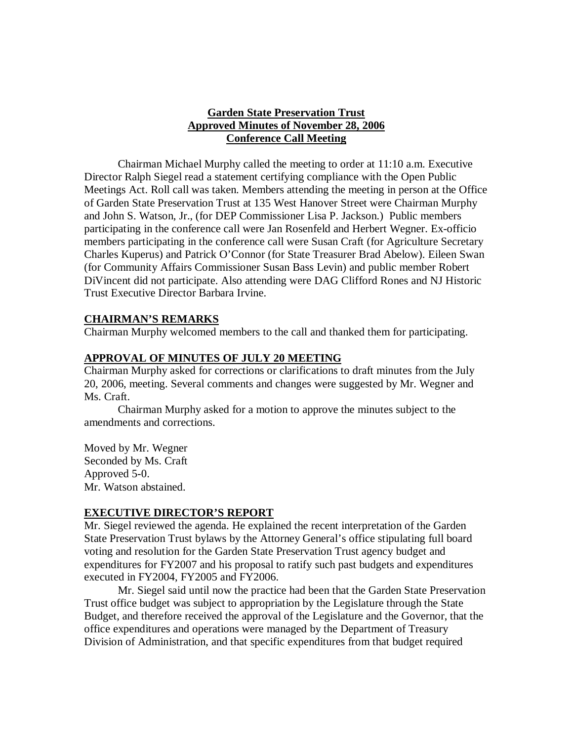## **Garden State Preservation Trust Approved Minutes of November 28, 2006 Conference Call Meeting**

Chairman Michael Murphy called the meeting to order at 11:10 a.m. Executive Director Ralph Siegel read a statement certifying compliance with the Open Public Meetings Act. Roll call was taken. Members attending the meeting in person at the Office of Garden State Preservation Trust at 135 West Hanover Street were Chairman Murphy and John S. Watson, Jr., (for DEP Commissioner Lisa P. Jackson.) Public members participating in the conference call were Jan Rosenfeld and Herbert Wegner. Ex-officio members participating in the conference call were Susan Craft (for Agriculture Secretary Charles Kuperus) and Patrick O'Connor (for State Treasurer Brad Abelow). Eileen Swan (for Community Affairs Commissioner Susan Bass Levin) and public member Robert DiVincent did not participate. Also attending were DAG Clifford Rones and NJ Historic Trust Executive Director Barbara Irvine.

### **CHAIRMAN'S REMARKS**

Chairman Murphy welcomed members to the call and thanked them for participating.

### **APPROVAL OF MINUTES OF JULY 20 MEETING**

Chairman Murphy asked for corrections or clarifications to draft minutes from the July 20, 2006, meeting. Several comments and changes were suggested by Mr. Wegner and Ms. Craft.

Chairman Murphy asked for a motion to approve the minutes subject to the amendments and corrections.

Moved by Mr. Wegner Seconded by Ms. Craft Approved 5-0. Mr. Watson abstained.

### **EXECUTIVE DIRECTOR'S REPORT**

Mr. Siegel reviewed the agenda. He explained the recent interpretation of the Garden State Preservation Trust bylaws by the Attorney General's office stipulating full board voting and resolution for the Garden State Preservation Trust agency budget and expenditures for FY2007 and his proposal to ratify such past budgets and expenditures executed in FY2004, FY2005 and FY2006.

Mr. Siegel said until now the practice had been that the Garden State Preservation Trust office budget was subject to appropriation by the Legislature through the State Budget, and therefore received the approval of the Legislature and the Governor, that the office expenditures and operations were managed by the Department of Treasury Division of Administration, and that specific expenditures from that budget required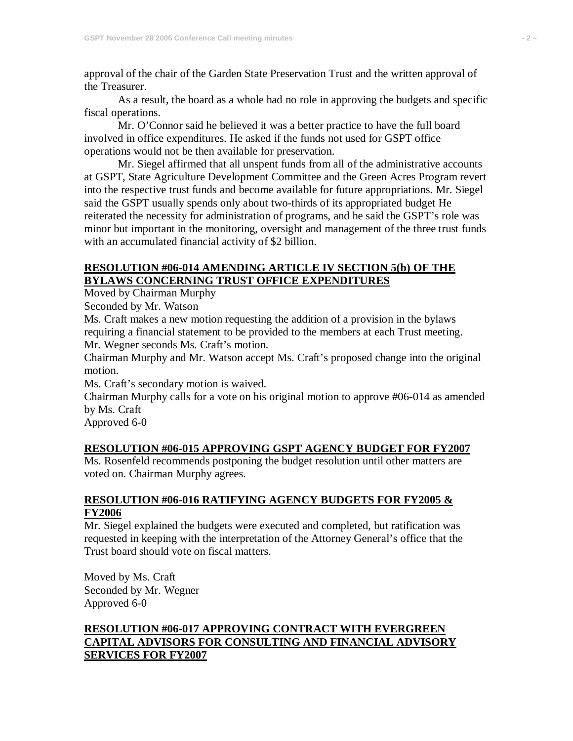approval of the chair of the Garden State Preservation Trust and the written approval of the Treasurer.

As a result, the board as a whole had no role in approving the budgets and specific fiscal operations.

Mr. O'Connor said he believed it was a better practice to have the full board involved in office expenditures. He asked if the funds not used for GSPT office operations would not be then available for preservation.

Mr. Siegel affirmed that all unspent funds from all of the administrative accounts at GSPT, State Agriculture Development Committee and the Green Acres Program revert into the respective trust funds and become available for future appropriations. Mr. Siegel said the GSPT usually spends only about two-thirds of its appropriated budget He reiterated the necessity for administration of programs, and he said the GSPT's role was minor but important in the monitoring, oversight and management of the three trust funds with an accumulated financial activity of \$2 billion.

### **RESOLUTION #06-014 AMENDING ARTICLE IV SECTION 5(b) OF THE BYLAWS CONCERNING TRUST OFFICE EXPENDITURES**

Moved by Chairman Murphy

Seconded by Mr. Watson

Ms. Craft makes a new motion requesting the addition of a provision in the bylaws requiring a financial statement to be provided to the members at each Trust meeting.

Mr. Wegner seconds Ms. Craft's motion.

Chairman Murphy and Mr. Watson accept Ms. Craft's proposed change into the original motion.

Ms. Craft's secondary motion is waived.

Chairman Murphy calls for a vote on his original motion to approve #06-014 as amended by Ms. Craft

Approved 6-0

## **RESOLUTION #06-015 APPROVING GSPT AGENCY BUDGET FOR FY2007**

Ms. Rosenfeld recommends postponing the budget resolution until other matters are voted on. Chairman Murphy agrees.

### **RESOLUTION #06-016 RATIFYING AGENCY BUDGETS FOR FY2005 & FY2006**

Mr. Siegel explained the budgets were executed and completed, but ratification was requested in keeping with the interpretation of the Attorney General's office that the Trust board should vote on fiscal matters.

Moved by Ms. Craft Seconded by Mr. Wegner Approved 6-0

# **RESOLUTION #06-017 APPROVING CONTRACT WITH EVERGREEN CAPITAL ADVISORS FOR CONSULTING AND FINANCIAL ADVISORY SERVICES FOR FY2007**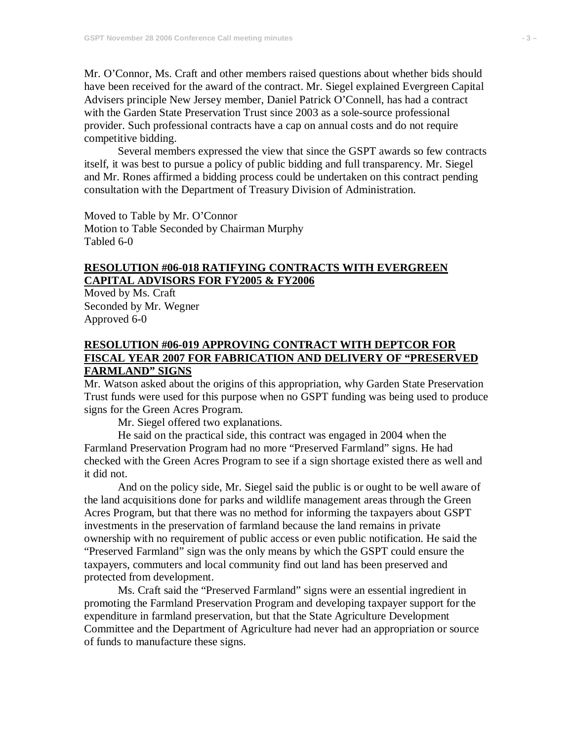Mr. O'Connor, Ms. Craft and other members raised questions about whether bids should have been received for the award of the contract. Mr. Siegel explained Evergreen Capital Advisers principle New Jersey member, Daniel Patrick O'Connell, has had a contract with the Garden State Preservation Trust since 2003 as a sole-source professional provider. Such professional contracts have a cap on annual costs and do not require competitive bidding.

Several members expressed the view that since the GSPT awards so few contracts itself, it was best to pursue a policy of public bidding and full transparency. Mr. Siegel and Mr. Rones affirmed a bidding process could be undertaken on this contract pending consultation with the Department of Treasury Division of Administration.

Moved to Table by Mr. O'Connor Motion to Table Seconded by Chairman Murphy Tabled 6-0

## **RESOLUTION #06-018 RATIFYING CONTRACTS WITH EVERGREEN CAPITAL ADVISORS FOR FY2005 & FY2006**

Moved by Ms. Craft Seconded by Mr. Wegner Approved 6-0

## **RESOLUTION #06-019 APPROVING CONTRACT WITH DEPTCOR FOR FISCAL YEAR 2007 FOR FABRICATION AND DELIVERY OF "PRESERVED FARMLAND" SIGNS**

Mr. Watson asked about the origins of this appropriation, why Garden State Preservation Trust funds were used for this purpose when no GSPT funding was being used to produce signs for the Green Acres Program.

Mr. Siegel offered two explanations.

He said on the practical side, this contract was engaged in 2004 when the Farmland Preservation Program had no more "Preserved Farmland" signs. He had checked with the Green Acres Program to see if a sign shortage existed there as well and it did not.

And on the policy side, Mr. Siegel said the public is or ought to be well aware of the land acquisitions done for parks and wildlife management areas through the Green Acres Program, but that there was no method for informing the taxpayers about GSPT investments in the preservation of farmland because the land remains in private ownership with no requirement of public access or even public notification. He said the "Preserved Farmland" sign was the only means by which the GSPT could ensure the taxpayers, commuters and local community find out land has been preserved and protected from development.

Ms. Craft said the "Preserved Farmland" signs were an essential ingredient in promoting the Farmland Preservation Program and developing taxpayer support for the expenditure in farmland preservation, but that the State Agriculture Development Committee and the Department of Agriculture had never had an appropriation or source of funds to manufacture these signs.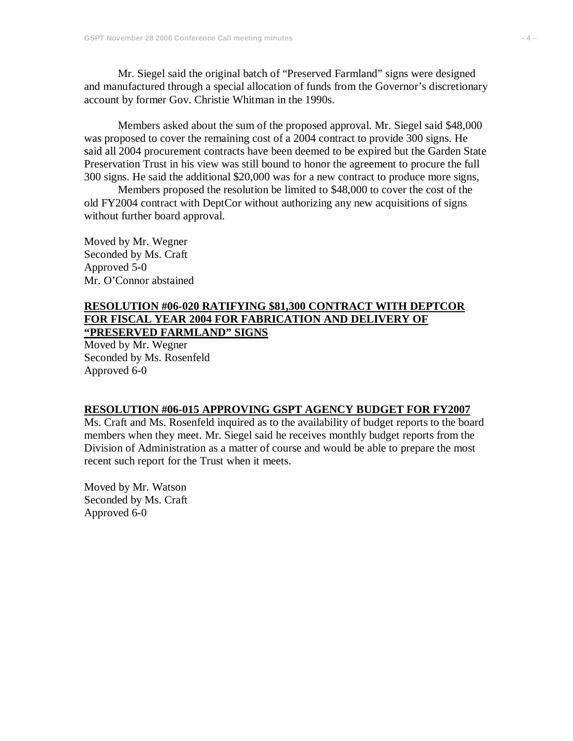Mr. Siegel said the original batch of "Preserved Farmland" signs were designed and manufactured through a special allocation of funds from the Governor's discretionary account by former Gov. Christie Whitman in the 1990s.

Members asked about the sum of the proposed approval. Mr. Siegel said \$48,000 was proposed to cover the remaining cost of a 2004 contract to provide 300 signs. He said all 2004 procurement contracts have been deemed to be expired but the Garden State Preservation Trust in his view was still bound to honor the agreement to procure the full 300 signs. He said the additional \$20,000 was for a new contract to produce more signs,

Members proposed the resolution be limited to \$48,000 to cover the cost of the old FY2004 contract with DeptCor without authorizing any new acquisitions of signs without further board approval.

Moved by Mr. Wegner Seconded by Ms. Craft Approved 5-0 Mr. O'Connor abstained

#### **RESOLUTION #06-020 RATIFYING \$81,300 CONTRACT WITH DEPTCOR FOR FISCAL YEAR 2004 FOR FABRICATION AND DELIVERY OF "PRESERVED FARMLAND" SIGNS**

Moved by Mr. Wegner Seconded by Ms. Rosenfeld Approved 6-0

#### **RESOLUTION #06-015 APPROVING GSPT AGENCY BUDGET FOR FY2007**

Ms. Craft and Ms. Rosenfeld inquired as to the availability of budget reports to the board members when they meet. Mr. Siegel said he receives monthly budget reports from the Division of Administration as a matter of course and would be able to prepare the most recent such report for the Trust when it meets.

Moved by Mr. Watson Seconded by Ms. Craft Approved 6-0